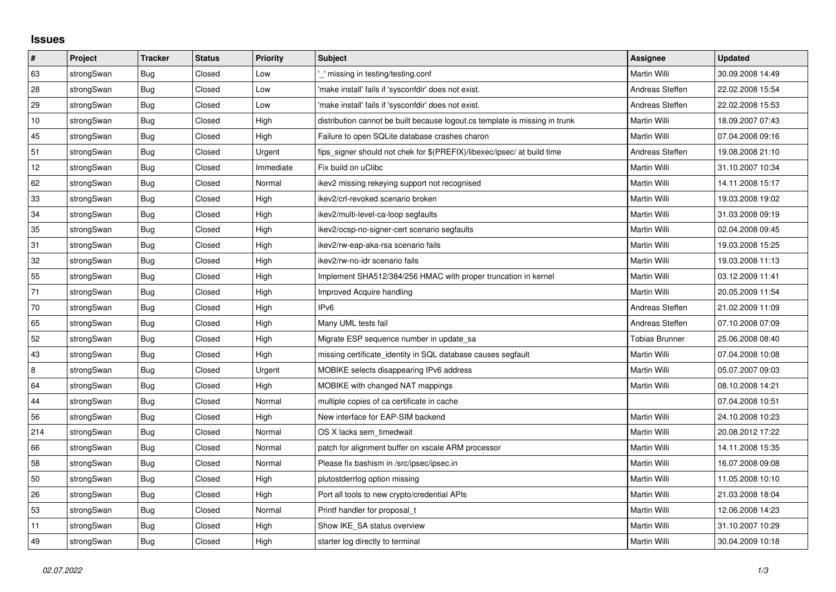## **Issues**

| $\vert$ # | Project    | <b>Tracker</b> | <b>Status</b> | Priority  | <b>Subject</b>                                                              | <b>Assignee</b>       | <b>Updated</b>   |
|-----------|------------|----------------|---------------|-----------|-----------------------------------------------------------------------------|-----------------------|------------------|
| 63        | strongSwan | Bug            | Closed        | Low       | missing in testing/testing.conf                                             | Martin Willi          | 30.09.2008 14:49 |
| 28        | strongSwan | <b>Bug</b>     | Closed        | Low       | 'make install' fails if 'sysconfdir' does not exist.                        | Andreas Steffen       | 22.02.2008 15:54 |
| 29        | strongSwan | <b>Bug</b>     | Closed        | Low       | 'make install' fails if 'sysconfdir' does not exist.                        | Andreas Steffen       | 22.02.2008 15:53 |
| 10        | strongSwan | <b>Bug</b>     | Closed        | High      | distribution cannot be built because logout.cs template is missing in trunk | Martin Willi          | 18.09.2007 07:43 |
| 45        | strongSwan | Bug            | Closed        | High      | Failure to open SQLite database crashes charon                              | Martin Willi          | 07.04.2008 09:16 |
| 51        | strongSwan | Bug            | Closed        | Urgent    | fips_signer should not chek for \$(PREFIX)/libexec/ipsec/ at build time     | Andreas Steffen       | 19.08.2008 21:10 |
| 12        | strongSwan | Bug            | Closed        | Immediate | Fix build on uClibc                                                         | Martin Willi          | 31.10.2007 10:34 |
| 62        | strongSwan | Bug            | Closed        | Normal    | ikev2 missing rekeying support not recognised                               | Martin Willi          | 14.11.2008 15:17 |
| 33        | strongSwan | <b>Bug</b>     | Closed        | High      | ikev2/crl-revoked scenario broken                                           | Martin Willi          | 19.03.2008 19:02 |
| 34        | strongSwan | Bug            | Closed        | High      | ikev2/multi-level-ca-loop segfaults                                         | Martin Willi          | 31.03.2008 09:19 |
| 35        | strongSwan | Bug            | Closed        | High      | ikev2/ocsp-no-signer-cert scenario segfaults                                | Martin Willi          | 02.04.2008 09:45 |
| 31        | strongSwan | Bug            | Closed        | High      | ikev2/rw-eap-aka-rsa scenario fails                                         | Martin Willi          | 19.03.2008 15:25 |
| 32        | strongSwan | Bug            | Closed        | High      | ikev2/rw-no-idr scenario fails                                              | Martin Willi          | 19.03.2008 11:13 |
| 55        | strongSwan | Bug            | Closed        | High      | Implement SHA512/384/256 HMAC with proper truncation in kernel              | Martin Willi          | 03.12.2009 11:41 |
| 71        | strongSwan | <b>Bug</b>     | Closed        | High      | Improved Acquire handling                                                   | Martin Willi          | 20.05.2009 11:54 |
| $70\,$    | strongSwan | Bug            | Closed        | High      | IP <sub>v6</sub>                                                            | Andreas Steffen       | 21.02.2009 11:09 |
| 65        | strongSwan | <b>Bug</b>     | Closed        | High      | Many UML tests fail                                                         | Andreas Steffen       | 07.10.2008 07:09 |
| 52        | strongSwan | Bug            | Closed        | High      | Migrate ESP sequence number in update sa                                    | <b>Tobias Brunner</b> | 25.06.2008 08:40 |
| 43        | strongSwan | <b>Bug</b>     | Closed        | High      | missing certificate_identity in SQL database causes segfault                | Martin Willi          | 07.04.2008 10:08 |
| 8         | strongSwan | Bug            | Closed        | Urgent    | MOBIKE selects disappearing IPv6 address                                    | Martin Willi          | 05.07.2007 09:03 |
| 64        | strongSwan | <b>Bug</b>     | Closed        | High      | MOBIKE with changed NAT mappings                                            | Martin Willi          | 08.10.2008 14:21 |
| 44        | strongSwan | <b>Bug</b>     | Closed        | Normal    | multiple copies of ca certificate in cache                                  |                       | 07.04.2008 10:51 |
| 56        | strongSwan | Bug            | Closed        | High      | New interface for EAP-SIM backend                                           | Martin Willi          | 24.10.2008 10:23 |
| 214       | strongSwan | Bug            | Closed        | Normal    | OS X lacks sem timedwait                                                    | Martin Willi          | 20.08.2012 17:22 |
| 66        | strongSwan | Bug            | Closed        | Normal    | patch for alignment buffer on xscale ARM processor                          | Martin Willi          | 14.11.2008 15:35 |
| 58        | strongSwan | Bug            | Closed        | Normal    | Please fix bashism in /src/ipsec/ipsec.in                                   | Martin Willi          | 16.07.2008 09:08 |
| 50        | strongSwan | Bug            | Closed        | High      | plutostderrlog option missing                                               | Martin Willi          | 11.05.2008 10:10 |
| 26        | strongSwan | Bug            | Closed        | High      | Port all tools to new crypto/credential APIs                                | Martin Willi          | 21.03.2008 18:04 |
| 53        | strongSwan | <b>Bug</b>     | Closed        | Normal    | Printf handler for proposal_t                                               | Martin Willi          | 12.06.2008 14:23 |
| 11        | strongSwan | Bug            | Closed        | High      | Show IKE SA status overview                                                 | Martin Willi          | 31.10.2007 10:29 |
| 49        | strongSwan | Bug            | Closed        | High      | starter log directly to terminal                                            | Martin Willi          | 30.04.2009 10:18 |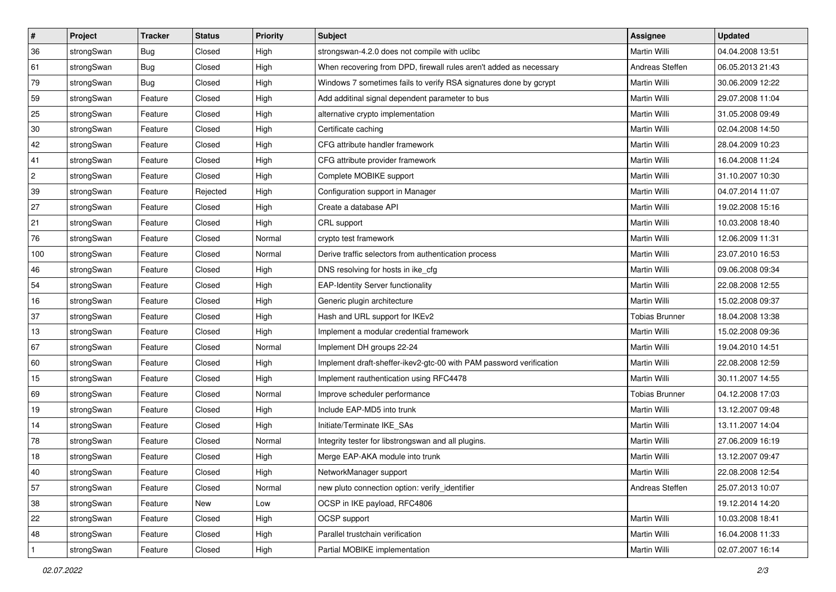| #              | Project    | <b>Tracker</b> | <b>Status</b> | <b>Priority</b> | <b>Subject</b>                                                      | Assignee              | <b>Updated</b>   |
|----------------|------------|----------------|---------------|-----------------|---------------------------------------------------------------------|-----------------------|------------------|
| 36             | strongSwan | <b>Bug</b>     | Closed        | High            | strongswan-4.2.0 does not compile with uclibc                       | Martin Willi          | 04.04.2008 13:51 |
| 61             | strongSwan | Bug            | Closed        | High            | When recovering from DPD, firewall rules aren't added as necessary  | Andreas Steffen       | 06.05.2013 21:43 |
| 79             | strongSwan | Bug            | Closed        | High            | Windows 7 sometimes fails to verify RSA signatures done by gcrypt   | Martin Willi          | 30.06.2009 12:22 |
| 59             | strongSwan | Feature        | Closed        | High            | Add additinal signal dependent parameter to bus                     | <b>Martin Willi</b>   | 29.07.2008 11:04 |
| 25             | strongSwan | Feature        | Closed        | High            | alternative crypto implementation                                   | Martin Willi          | 31.05.2008 09:49 |
| $30\,$         | strongSwan | Feature        | Closed        | High            | Certificate caching                                                 | Martin Willi          | 02.04.2008 14:50 |
| 42             | strongSwan | Feature        | Closed        | High            | CFG attribute handler framework                                     | Martin Willi          | 28.04.2009 10:23 |
| 41             | strongSwan | Feature        | Closed        | High            | CFG attribute provider framework                                    | Martin Willi          | 16.04.2008 11:24 |
| $\overline{2}$ | strongSwan | Feature        | Closed        | High            | Complete MOBIKE support                                             | Martin Willi          | 31.10.2007 10:30 |
| 39             | strongSwan | Feature        | Rejected      | High            | Configuration support in Manager                                    | Martin Willi          | 04.07.2014 11:07 |
| 27             | strongSwan | Feature        | Closed        | High            | Create a database API                                               | Martin Willi          | 19.02.2008 15:16 |
| 21             | strongSwan | Feature        | Closed        | High            | CRL support                                                         | Martin Willi          | 10.03.2008 18:40 |
| 76             | strongSwan | Feature        | Closed        | Normal          | crypto test framework                                               | Martin Willi          | 12.06.2009 11:31 |
| 100            | strongSwan | Feature        | Closed        | Normal          | Derive traffic selectors from authentication process                | Martin Willi          | 23.07.2010 16:53 |
| 46             | strongSwan | Feature        | Closed        | High            | DNS resolving for hosts in ike_cfg                                  | Martin Willi          | 09.06.2008 09:34 |
| 54             | strongSwan | Feature        | Closed        | High            | <b>EAP-Identity Server functionality</b>                            | Martin Willi          | 22.08.2008 12:55 |
| 16             | strongSwan | Feature        | Closed        | High            | Generic plugin architecture                                         | Martin Willi          | 15.02.2008 09:37 |
| 37             | strongSwan | Feature        | Closed        | High            | Hash and URL support for IKEv2                                      | <b>Tobias Brunner</b> | 18.04.2008 13:38 |
| 13             | strongSwan | Feature        | Closed        | High            | Implement a modular credential framework                            | Martin Willi          | 15.02.2008 09:36 |
| 67             | strongSwan | Feature        | Closed        | Normal          | Implement DH groups 22-24                                           | Martin Willi          | 19.04.2010 14:51 |
| 60             | strongSwan | Feature        | Closed        | High            | Implement draft-sheffer-ikev2-gtc-00 with PAM password verification | Martin Willi          | 22.08.2008 12:59 |
| 15             | strongSwan | Feature        | Closed        | High            | Implement rauthentication using RFC4478                             | Martin Willi          | 30.11.2007 14:55 |
| 69             | strongSwan | Feature        | Closed        | Normal          | Improve scheduler performance                                       | <b>Tobias Brunner</b> | 04.12.2008 17:03 |
| 19             | strongSwan | Feature        | Closed        | High            | Include EAP-MD5 into trunk                                          | Martin Willi          | 13.12.2007 09:48 |
| 14             | strongSwan | Feature        | Closed        | High            | Initiate/Terminate IKE_SAs                                          | Martin Willi          | 13.11.2007 14:04 |
| 78             | strongSwan | Feature        | Closed        | Normal          | Integrity tester for libstrongswan and all plugins.                 | Martin Willi          | 27.06.2009 16:19 |
| 18             | strongSwan | Feature        | Closed        | High            | Merge EAP-AKA module into trunk                                     | Martin Willi          | 13.12.2007 09:47 |
| 40             | strongSwan | Feature        | Closed        | High            | NetworkManager support                                              | Martin Willi          | 22.08.2008 12:54 |
| 57             | strongSwan | Feature        | Closed        | Normal          | new pluto connection option: verify identifier                      | Andreas Steffen       | 25.07.2013 10:07 |
| 38             | strongSwan | Feature        | New           | Low             | OCSP in IKE payload, RFC4806                                        |                       | 19.12.2014 14:20 |
| 22             | strongSwan | Feature        | Closed        | High            | OCSP support                                                        | Martin Willi          | 10.03.2008 18:41 |
| 48             | strongSwan | Feature        | Closed        | High            | Parallel trustchain verification                                    | Martin Willi          | 16.04.2008 11:33 |
| $\vert$ 1      | strongSwan | Feature        | Closed        | High            | Partial MOBIKE implementation                                       | Martin Willi          | 02.07.2007 16:14 |